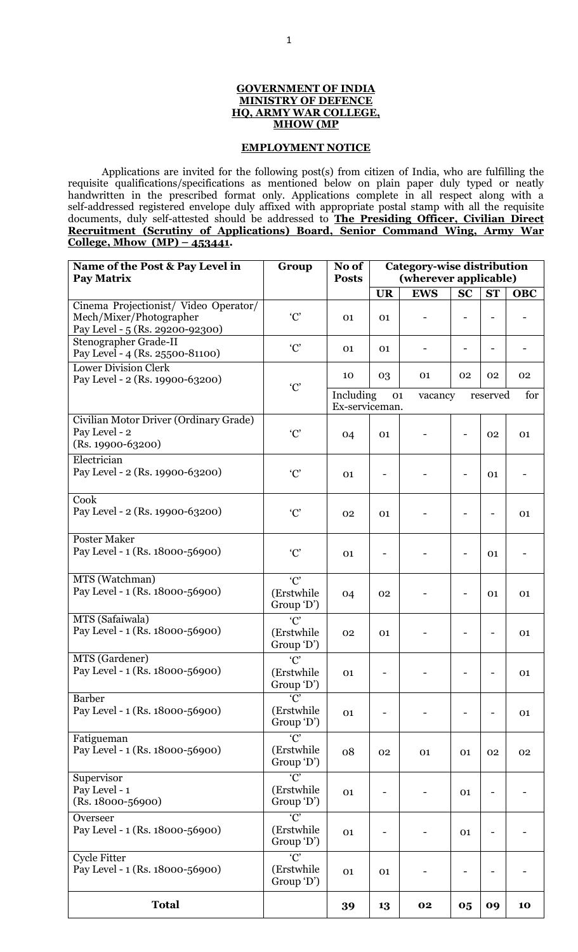#### **GOVERNMENT OF INDIA MINISTRY OF DEFENCE HQ, ARMY WAR COLLEGE, MHOW (MP**

### **EMPLOYMENT NOTICE**

Applications are invited for the following post(s) from citizen of India, who are fulfilling the requisite qualifications/specifications as mentioned below on plain paper duly typed or neatly handwritten in the prescribed format only. Applications complete in all respect along with a self-addressed registered envelope duly affixed with appropriate postal stamp with all the requisite documents, duly self-attested should be addressed to **The Presiding Officer, Civilian Direct Recruitment (Scrutiny of Applications) Board, Senior Command Wing, Army War College, Mhow (MP) – 453441.**

| Name of the Post & Pay Level in<br><b>Pay Matrix</b>                                                | Group                                       | No of<br><b>Posts</b>       | <b>Category-wise distribution</b><br>(wherever applicable) |            |           |           |            |  |
|-----------------------------------------------------------------------------------------------------|---------------------------------------------|-----------------------------|------------------------------------------------------------|------------|-----------|-----------|------------|--|
|                                                                                                     |                                             |                             | <b>UR</b>                                                  | <b>EWS</b> | <b>SC</b> | <b>ST</b> | <b>OBC</b> |  |
| Cinema Projectionist/ Video Operator/<br>Mech/Mixer/Photographer<br>Pay Level - 5 (Rs. 29200-92300) | C                                           | 01                          | 01                                                         |            |           |           |            |  |
| Stenographer Grade-II<br>Pay Level - 4 (Rs. 25500-81100)                                            | C                                           | 01                          | 01                                                         |            |           |           |            |  |
| <b>Lower Division Clerk</b><br>Pay Level - 2 (Rs. 19900-63200)                                      | C'                                          | 10                          | 03                                                         | 01         | 02        | 02        | 02         |  |
|                                                                                                     |                                             | Including<br>Ex-serviceman. | 01                                                         | vacancy    |           | reserved  | for        |  |
| Civilian Motor Driver (Ordinary Grade)<br>Pay Level - 2<br>(Rs. 19900-63200)                        | C'                                          | 04                          | 01                                                         |            |           | 02        | 01         |  |
| Electrician<br>Pay Level - 2 (Rs. 19900-63200)                                                      | C                                           | 01                          |                                                            |            |           | 01        |            |  |
| Cook<br>Pay Level - 2 (Rs. 19900-63200)                                                             | $^{\circ}C^{\circ}$                         | 02                          | 01                                                         |            |           |           | 01         |  |
| <b>Poster Maker</b><br>Pay Level - 1 (Rs. 18000-56900)                                              | C                                           | 01                          |                                                            |            |           | 01        |            |  |
| MTS (Watchman)<br>Pay Level - 1 (Rs. 18000-56900)                                                   | C<br>(Erstwhile<br>Group 'D')               | 04                          | 02                                                         |            |           | 01        | 01         |  |
| MTS (Safaiwala)<br>Pay Level - 1 (Rs. 18000-56900)                                                  | C<br>(Erstwhile<br>Group 'D')               | 02                          | 01                                                         |            |           |           | 01         |  |
| MTS (Gardener)<br>Pay Level - 1 (Rs. 18000-56900)                                                   | C'<br>(Erstwhile<br>Group 'D')              | 01                          |                                                            |            |           |           | 01         |  |
| <b>Barber</b><br>Pay Level - 1 (Rs. 18000-56900)                                                    | $\overline{C}$<br>(Erstwhile<br>Group 'D')  | 01                          |                                                            |            |           |           | 01         |  |
| Fatigueman<br>Pay Level - 1 (Rs. 18000-56900)                                                       | $\overline{C}$<br>(Erstwhile<br>Group 'D')  | 08                          | 02                                                         | 01         | 01        | 02        | 02         |  |
| Supervisor<br>Pay Level - 1<br>$(Rs. 18000 - 56900)$                                                | $\overline{C}$<br>(Erstwhile)<br>Group 'D') | 01                          |                                                            |            | 01        |           |            |  |
| Overseer<br>Pay Level - 1 (Rs. 18000-56900)                                                         | $\overline{C}$<br>(Erstwhile<br>Group 'D')  | 01                          |                                                            |            | 01        |           |            |  |
| Cycle Fitter<br>Pay Level - 1 (Rs. 18000-56900)                                                     | $\overline{C}$<br>(Erstwhile)<br>Group 'D') | 01                          | 01                                                         |            |           |           |            |  |
| <b>Total</b>                                                                                        |                                             | 39                          | 13                                                         | 02         | 05        | 09        | 10         |  |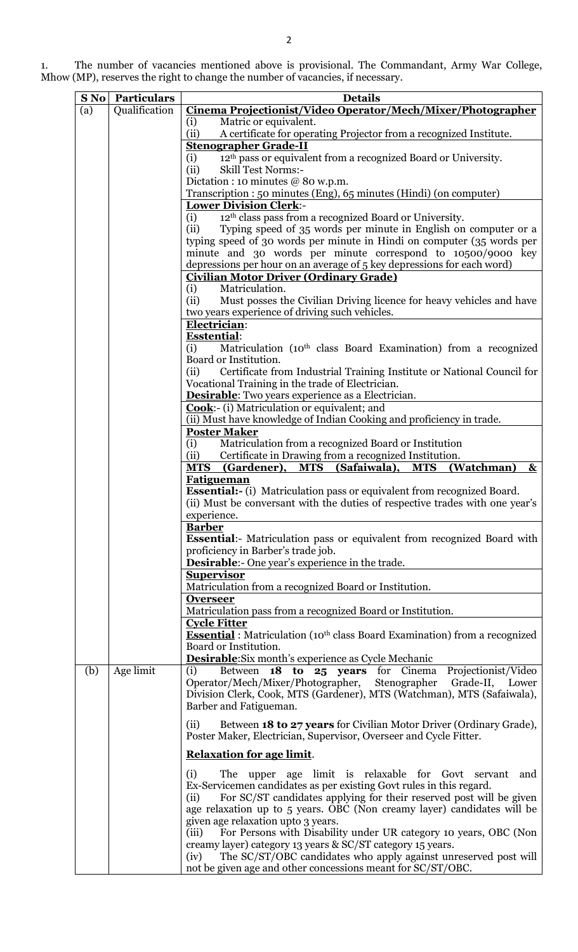1. The number of vacancies mentioned above is provisional. The Commandant, Army War College, Mhow (MP), reserves the right to change the number of vacancies, if necessary.

| Qualification<br>Cinema Projectionist/Video Operator/Mech/Mixer/Photographer<br>(a)<br>Matric or equivalent.<br>(i)<br>(ii)<br>A certificate for operating Projector from a recognized Institute.<br><b>Stenographer Grade-II</b><br>12 <sup>th</sup> pass or equivalent from a recognized Board or University.<br>(i)<br>(ii)<br><b>Skill Test Norms:-</b><br>Dictation : 10 minutes $@$ 80 w.p.m.<br>Transcription: 50 minutes (Eng), 65 minutes (Hindi) (on computer)<br><b>Lower Division Clerk:-</b><br>12 <sup>th</sup> class pass from a recognized Board or University.<br>(i)<br>(ii)<br>Typing speed of 35 words per minute in English on computer or a<br>typing speed of 30 words per minute in Hindi on computer (35 words per<br>minute and 30 words per minute correspond to 10500/9000 key<br>depressions per hour on an average of 5 key depressions for each word)<br><b>Civilian Motor Driver (Ordinary Grade)</b><br>Matriculation.<br>(i)<br>(ii)<br>Must posses the Civilian Driving licence for heavy vehicles and have<br>two years experience of driving such vehicles.<br>Electrician:<br><b>Esstential:</b><br>(i)<br>Matriculation (10 <sup>th</sup> class Board Examination) from a recognized<br>Board or Institution.<br>(ii)<br>Certificate from Industrial Training Institute or National Council for<br>Vocational Training in the trade of Electrician.<br><b>Desirable:</b> Two years experience as a Electrician.<br><b>Cook:-</b> (i) Matriculation or equivalent; and<br>(ii) Must have knowledge of Indian Cooking and proficiency in trade.<br><b>Poster Maker</b><br>Matriculation from a recognized Board or Institution<br>(i)<br>Certificate in Drawing from a recognized Institution.<br>(ii)<br>MTS (Gardener), MTS (Safaiwala), MTS<br>(Watchman)<br>$\boldsymbol{\alpha}$<br><b>Fatigueman</b><br><b>Essential:-</b> (i) Matriculation pass or equivalent from recognized Board.<br>(ii) Must be conversant with the duties of respective trades with one year's<br>experience.<br><b>Barber</b><br><b>Essential:</b> Matriculation pass or equivalent from recognized Board with<br>proficiency in Barber's trade job.<br><b>Desirable:-</b> One year's experience in the trade.<br><b>Supervisor</b><br>Matriculation from a recognized Board or Institution.<br><b>Overseer</b><br>Matriculation pass from a recognized Board or Institution.<br><b>Cycle Fitter</b><br><b>Essential</b> : Matriculation (10 <sup>th</sup> class Board Examination) from a recognized<br>Board or Institution.<br><b>Desirable:</b> Six month's experience as Cycle Mechanic<br>Age limit<br>Between 18 to 25 years for Cinema Projectionist/Video<br>(b)<br>(i)<br>Operator/Mech/Mixer/Photographer, Stenographer Grade-II, Lower<br>Division Clerk, Cook, MTS (Gardener), MTS (Watchman), MTS (Safaiwala),<br>Barber and Fatigueman.<br>Between 18 to 27 years for Civilian Motor Driver (Ordinary Grade),<br>(ii)<br>Poster Maker, Electrician, Supervisor, Overseer and Cycle Fitter.<br><b>Relaxation for age limit.</b><br>The upper age limit is relaxable for Govt servant and<br>(i)<br>Ex-Servicemen candidates as per existing Govt rules in this regard.<br>For SC/ST candidates applying for their reserved post will be given<br>(ii)<br>age relaxation up to 5 years. OBC (Non creamy layer) candidates will be<br>given age relaxation upto 3 years.<br>For Persons with Disability under UR category 10 years, OBC (Non<br>(iii)<br>creamy layer) category 13 years & SC/ST category 15 years. | <b>S No</b> Particulars | <b>Details</b>                                                          |
|-----------------------------------------------------------------------------------------------------------------------------------------------------------------------------------------------------------------------------------------------------------------------------------------------------------------------------------------------------------------------------------------------------------------------------------------------------------------------------------------------------------------------------------------------------------------------------------------------------------------------------------------------------------------------------------------------------------------------------------------------------------------------------------------------------------------------------------------------------------------------------------------------------------------------------------------------------------------------------------------------------------------------------------------------------------------------------------------------------------------------------------------------------------------------------------------------------------------------------------------------------------------------------------------------------------------------------------------------------------------------------------------------------------------------------------------------------------------------------------------------------------------------------------------------------------------------------------------------------------------------------------------------------------------------------------------------------------------------------------------------------------------------------------------------------------------------------------------------------------------------------------------------------------------------------------------------------------------------------------------------------------------------------------------------------------------------------------------------------------------------------------------------------------------------------------------------------------------------------------------------------------------------------------------------------------------------------------------------------------------------------------------------------------------------------------------------------------------------------------------------------------------------------------------------------------------------------------------------------------------------------------------------------------------------------------------------------------------------------------------------------------------------------------------------------------------------------------------------------------------------------------------------------------------------------------------------------------------------------------------------------------------------------------------------------------------------------------------------------------------------------------------------------------------------------------------------------------------------------------------------------------------------------------------------------------------------------------------------------------------------------------------------------------------------------------------------------------------------------------------------------------------------------------------------------|-------------------------|-------------------------------------------------------------------------|
|                                                                                                                                                                                                                                                                                                                                                                                                                                                                                                                                                                                                                                                                                                                                                                                                                                                                                                                                                                                                                                                                                                                                                                                                                                                                                                                                                                                                                                                                                                                                                                                                                                                                                                                                                                                                                                                                                                                                                                                                                                                                                                                                                                                                                                                                                                                                                                                                                                                                                                                                                                                                                                                                                                                                                                                                                                                                                                                                                                                                                                                                                                                                                                                                                                                                                                                                                                                                                                                                                                                                                     |                         |                                                                         |
|                                                                                                                                                                                                                                                                                                                                                                                                                                                                                                                                                                                                                                                                                                                                                                                                                                                                                                                                                                                                                                                                                                                                                                                                                                                                                                                                                                                                                                                                                                                                                                                                                                                                                                                                                                                                                                                                                                                                                                                                                                                                                                                                                                                                                                                                                                                                                                                                                                                                                                                                                                                                                                                                                                                                                                                                                                                                                                                                                                                                                                                                                                                                                                                                                                                                                                                                                                                                                                                                                                                                                     |                         |                                                                         |
|                                                                                                                                                                                                                                                                                                                                                                                                                                                                                                                                                                                                                                                                                                                                                                                                                                                                                                                                                                                                                                                                                                                                                                                                                                                                                                                                                                                                                                                                                                                                                                                                                                                                                                                                                                                                                                                                                                                                                                                                                                                                                                                                                                                                                                                                                                                                                                                                                                                                                                                                                                                                                                                                                                                                                                                                                                                                                                                                                                                                                                                                                                                                                                                                                                                                                                                                                                                                                                                                                                                                                     |                         |                                                                         |
|                                                                                                                                                                                                                                                                                                                                                                                                                                                                                                                                                                                                                                                                                                                                                                                                                                                                                                                                                                                                                                                                                                                                                                                                                                                                                                                                                                                                                                                                                                                                                                                                                                                                                                                                                                                                                                                                                                                                                                                                                                                                                                                                                                                                                                                                                                                                                                                                                                                                                                                                                                                                                                                                                                                                                                                                                                                                                                                                                                                                                                                                                                                                                                                                                                                                                                                                                                                                                                                                                                                                                     |                         |                                                                         |
|                                                                                                                                                                                                                                                                                                                                                                                                                                                                                                                                                                                                                                                                                                                                                                                                                                                                                                                                                                                                                                                                                                                                                                                                                                                                                                                                                                                                                                                                                                                                                                                                                                                                                                                                                                                                                                                                                                                                                                                                                                                                                                                                                                                                                                                                                                                                                                                                                                                                                                                                                                                                                                                                                                                                                                                                                                                                                                                                                                                                                                                                                                                                                                                                                                                                                                                                                                                                                                                                                                                                                     |                         |                                                                         |
|                                                                                                                                                                                                                                                                                                                                                                                                                                                                                                                                                                                                                                                                                                                                                                                                                                                                                                                                                                                                                                                                                                                                                                                                                                                                                                                                                                                                                                                                                                                                                                                                                                                                                                                                                                                                                                                                                                                                                                                                                                                                                                                                                                                                                                                                                                                                                                                                                                                                                                                                                                                                                                                                                                                                                                                                                                                                                                                                                                                                                                                                                                                                                                                                                                                                                                                                                                                                                                                                                                                                                     |                         |                                                                         |
|                                                                                                                                                                                                                                                                                                                                                                                                                                                                                                                                                                                                                                                                                                                                                                                                                                                                                                                                                                                                                                                                                                                                                                                                                                                                                                                                                                                                                                                                                                                                                                                                                                                                                                                                                                                                                                                                                                                                                                                                                                                                                                                                                                                                                                                                                                                                                                                                                                                                                                                                                                                                                                                                                                                                                                                                                                                                                                                                                                                                                                                                                                                                                                                                                                                                                                                                                                                                                                                                                                                                                     |                         |                                                                         |
|                                                                                                                                                                                                                                                                                                                                                                                                                                                                                                                                                                                                                                                                                                                                                                                                                                                                                                                                                                                                                                                                                                                                                                                                                                                                                                                                                                                                                                                                                                                                                                                                                                                                                                                                                                                                                                                                                                                                                                                                                                                                                                                                                                                                                                                                                                                                                                                                                                                                                                                                                                                                                                                                                                                                                                                                                                                                                                                                                                                                                                                                                                                                                                                                                                                                                                                                                                                                                                                                                                                                                     |                         |                                                                         |
|                                                                                                                                                                                                                                                                                                                                                                                                                                                                                                                                                                                                                                                                                                                                                                                                                                                                                                                                                                                                                                                                                                                                                                                                                                                                                                                                                                                                                                                                                                                                                                                                                                                                                                                                                                                                                                                                                                                                                                                                                                                                                                                                                                                                                                                                                                                                                                                                                                                                                                                                                                                                                                                                                                                                                                                                                                                                                                                                                                                                                                                                                                                                                                                                                                                                                                                                                                                                                                                                                                                                                     |                         |                                                                         |
|                                                                                                                                                                                                                                                                                                                                                                                                                                                                                                                                                                                                                                                                                                                                                                                                                                                                                                                                                                                                                                                                                                                                                                                                                                                                                                                                                                                                                                                                                                                                                                                                                                                                                                                                                                                                                                                                                                                                                                                                                                                                                                                                                                                                                                                                                                                                                                                                                                                                                                                                                                                                                                                                                                                                                                                                                                                                                                                                                                                                                                                                                                                                                                                                                                                                                                                                                                                                                                                                                                                                                     |                         |                                                                         |
|                                                                                                                                                                                                                                                                                                                                                                                                                                                                                                                                                                                                                                                                                                                                                                                                                                                                                                                                                                                                                                                                                                                                                                                                                                                                                                                                                                                                                                                                                                                                                                                                                                                                                                                                                                                                                                                                                                                                                                                                                                                                                                                                                                                                                                                                                                                                                                                                                                                                                                                                                                                                                                                                                                                                                                                                                                                                                                                                                                                                                                                                                                                                                                                                                                                                                                                                                                                                                                                                                                                                                     |                         |                                                                         |
|                                                                                                                                                                                                                                                                                                                                                                                                                                                                                                                                                                                                                                                                                                                                                                                                                                                                                                                                                                                                                                                                                                                                                                                                                                                                                                                                                                                                                                                                                                                                                                                                                                                                                                                                                                                                                                                                                                                                                                                                                                                                                                                                                                                                                                                                                                                                                                                                                                                                                                                                                                                                                                                                                                                                                                                                                                                                                                                                                                                                                                                                                                                                                                                                                                                                                                                                                                                                                                                                                                                                                     |                         |                                                                         |
|                                                                                                                                                                                                                                                                                                                                                                                                                                                                                                                                                                                                                                                                                                                                                                                                                                                                                                                                                                                                                                                                                                                                                                                                                                                                                                                                                                                                                                                                                                                                                                                                                                                                                                                                                                                                                                                                                                                                                                                                                                                                                                                                                                                                                                                                                                                                                                                                                                                                                                                                                                                                                                                                                                                                                                                                                                                                                                                                                                                                                                                                                                                                                                                                                                                                                                                                                                                                                                                                                                                                                     |                         |                                                                         |
|                                                                                                                                                                                                                                                                                                                                                                                                                                                                                                                                                                                                                                                                                                                                                                                                                                                                                                                                                                                                                                                                                                                                                                                                                                                                                                                                                                                                                                                                                                                                                                                                                                                                                                                                                                                                                                                                                                                                                                                                                                                                                                                                                                                                                                                                                                                                                                                                                                                                                                                                                                                                                                                                                                                                                                                                                                                                                                                                                                                                                                                                                                                                                                                                                                                                                                                                                                                                                                                                                                                                                     |                         |                                                                         |
|                                                                                                                                                                                                                                                                                                                                                                                                                                                                                                                                                                                                                                                                                                                                                                                                                                                                                                                                                                                                                                                                                                                                                                                                                                                                                                                                                                                                                                                                                                                                                                                                                                                                                                                                                                                                                                                                                                                                                                                                                                                                                                                                                                                                                                                                                                                                                                                                                                                                                                                                                                                                                                                                                                                                                                                                                                                                                                                                                                                                                                                                                                                                                                                                                                                                                                                                                                                                                                                                                                                                                     |                         |                                                                         |
|                                                                                                                                                                                                                                                                                                                                                                                                                                                                                                                                                                                                                                                                                                                                                                                                                                                                                                                                                                                                                                                                                                                                                                                                                                                                                                                                                                                                                                                                                                                                                                                                                                                                                                                                                                                                                                                                                                                                                                                                                                                                                                                                                                                                                                                                                                                                                                                                                                                                                                                                                                                                                                                                                                                                                                                                                                                                                                                                                                                                                                                                                                                                                                                                                                                                                                                                                                                                                                                                                                                                                     |                         |                                                                         |
|                                                                                                                                                                                                                                                                                                                                                                                                                                                                                                                                                                                                                                                                                                                                                                                                                                                                                                                                                                                                                                                                                                                                                                                                                                                                                                                                                                                                                                                                                                                                                                                                                                                                                                                                                                                                                                                                                                                                                                                                                                                                                                                                                                                                                                                                                                                                                                                                                                                                                                                                                                                                                                                                                                                                                                                                                                                                                                                                                                                                                                                                                                                                                                                                                                                                                                                                                                                                                                                                                                                                                     |                         |                                                                         |
|                                                                                                                                                                                                                                                                                                                                                                                                                                                                                                                                                                                                                                                                                                                                                                                                                                                                                                                                                                                                                                                                                                                                                                                                                                                                                                                                                                                                                                                                                                                                                                                                                                                                                                                                                                                                                                                                                                                                                                                                                                                                                                                                                                                                                                                                                                                                                                                                                                                                                                                                                                                                                                                                                                                                                                                                                                                                                                                                                                                                                                                                                                                                                                                                                                                                                                                                                                                                                                                                                                                                                     |                         |                                                                         |
|                                                                                                                                                                                                                                                                                                                                                                                                                                                                                                                                                                                                                                                                                                                                                                                                                                                                                                                                                                                                                                                                                                                                                                                                                                                                                                                                                                                                                                                                                                                                                                                                                                                                                                                                                                                                                                                                                                                                                                                                                                                                                                                                                                                                                                                                                                                                                                                                                                                                                                                                                                                                                                                                                                                                                                                                                                                                                                                                                                                                                                                                                                                                                                                                                                                                                                                                                                                                                                                                                                                                                     |                         |                                                                         |
|                                                                                                                                                                                                                                                                                                                                                                                                                                                                                                                                                                                                                                                                                                                                                                                                                                                                                                                                                                                                                                                                                                                                                                                                                                                                                                                                                                                                                                                                                                                                                                                                                                                                                                                                                                                                                                                                                                                                                                                                                                                                                                                                                                                                                                                                                                                                                                                                                                                                                                                                                                                                                                                                                                                                                                                                                                                                                                                                                                                                                                                                                                                                                                                                                                                                                                                                                                                                                                                                                                                                                     |                         |                                                                         |
|                                                                                                                                                                                                                                                                                                                                                                                                                                                                                                                                                                                                                                                                                                                                                                                                                                                                                                                                                                                                                                                                                                                                                                                                                                                                                                                                                                                                                                                                                                                                                                                                                                                                                                                                                                                                                                                                                                                                                                                                                                                                                                                                                                                                                                                                                                                                                                                                                                                                                                                                                                                                                                                                                                                                                                                                                                                                                                                                                                                                                                                                                                                                                                                                                                                                                                                                                                                                                                                                                                                                                     |                         |                                                                         |
|                                                                                                                                                                                                                                                                                                                                                                                                                                                                                                                                                                                                                                                                                                                                                                                                                                                                                                                                                                                                                                                                                                                                                                                                                                                                                                                                                                                                                                                                                                                                                                                                                                                                                                                                                                                                                                                                                                                                                                                                                                                                                                                                                                                                                                                                                                                                                                                                                                                                                                                                                                                                                                                                                                                                                                                                                                                                                                                                                                                                                                                                                                                                                                                                                                                                                                                                                                                                                                                                                                                                                     |                         |                                                                         |
|                                                                                                                                                                                                                                                                                                                                                                                                                                                                                                                                                                                                                                                                                                                                                                                                                                                                                                                                                                                                                                                                                                                                                                                                                                                                                                                                                                                                                                                                                                                                                                                                                                                                                                                                                                                                                                                                                                                                                                                                                                                                                                                                                                                                                                                                                                                                                                                                                                                                                                                                                                                                                                                                                                                                                                                                                                                                                                                                                                                                                                                                                                                                                                                                                                                                                                                                                                                                                                                                                                                                                     |                         |                                                                         |
|                                                                                                                                                                                                                                                                                                                                                                                                                                                                                                                                                                                                                                                                                                                                                                                                                                                                                                                                                                                                                                                                                                                                                                                                                                                                                                                                                                                                                                                                                                                                                                                                                                                                                                                                                                                                                                                                                                                                                                                                                                                                                                                                                                                                                                                                                                                                                                                                                                                                                                                                                                                                                                                                                                                                                                                                                                                                                                                                                                                                                                                                                                                                                                                                                                                                                                                                                                                                                                                                                                                                                     |                         |                                                                         |
|                                                                                                                                                                                                                                                                                                                                                                                                                                                                                                                                                                                                                                                                                                                                                                                                                                                                                                                                                                                                                                                                                                                                                                                                                                                                                                                                                                                                                                                                                                                                                                                                                                                                                                                                                                                                                                                                                                                                                                                                                                                                                                                                                                                                                                                                                                                                                                                                                                                                                                                                                                                                                                                                                                                                                                                                                                                                                                                                                                                                                                                                                                                                                                                                                                                                                                                                                                                                                                                                                                                                                     |                         |                                                                         |
|                                                                                                                                                                                                                                                                                                                                                                                                                                                                                                                                                                                                                                                                                                                                                                                                                                                                                                                                                                                                                                                                                                                                                                                                                                                                                                                                                                                                                                                                                                                                                                                                                                                                                                                                                                                                                                                                                                                                                                                                                                                                                                                                                                                                                                                                                                                                                                                                                                                                                                                                                                                                                                                                                                                                                                                                                                                                                                                                                                                                                                                                                                                                                                                                                                                                                                                                                                                                                                                                                                                                                     |                         |                                                                         |
|                                                                                                                                                                                                                                                                                                                                                                                                                                                                                                                                                                                                                                                                                                                                                                                                                                                                                                                                                                                                                                                                                                                                                                                                                                                                                                                                                                                                                                                                                                                                                                                                                                                                                                                                                                                                                                                                                                                                                                                                                                                                                                                                                                                                                                                                                                                                                                                                                                                                                                                                                                                                                                                                                                                                                                                                                                                                                                                                                                                                                                                                                                                                                                                                                                                                                                                                                                                                                                                                                                                                                     |                         |                                                                         |
|                                                                                                                                                                                                                                                                                                                                                                                                                                                                                                                                                                                                                                                                                                                                                                                                                                                                                                                                                                                                                                                                                                                                                                                                                                                                                                                                                                                                                                                                                                                                                                                                                                                                                                                                                                                                                                                                                                                                                                                                                                                                                                                                                                                                                                                                                                                                                                                                                                                                                                                                                                                                                                                                                                                                                                                                                                                                                                                                                                                                                                                                                                                                                                                                                                                                                                                                                                                                                                                                                                                                                     |                         |                                                                         |
|                                                                                                                                                                                                                                                                                                                                                                                                                                                                                                                                                                                                                                                                                                                                                                                                                                                                                                                                                                                                                                                                                                                                                                                                                                                                                                                                                                                                                                                                                                                                                                                                                                                                                                                                                                                                                                                                                                                                                                                                                                                                                                                                                                                                                                                                                                                                                                                                                                                                                                                                                                                                                                                                                                                                                                                                                                                                                                                                                                                                                                                                                                                                                                                                                                                                                                                                                                                                                                                                                                                                                     |                         |                                                                         |
|                                                                                                                                                                                                                                                                                                                                                                                                                                                                                                                                                                                                                                                                                                                                                                                                                                                                                                                                                                                                                                                                                                                                                                                                                                                                                                                                                                                                                                                                                                                                                                                                                                                                                                                                                                                                                                                                                                                                                                                                                                                                                                                                                                                                                                                                                                                                                                                                                                                                                                                                                                                                                                                                                                                                                                                                                                                                                                                                                                                                                                                                                                                                                                                                                                                                                                                                                                                                                                                                                                                                                     |                         |                                                                         |
|                                                                                                                                                                                                                                                                                                                                                                                                                                                                                                                                                                                                                                                                                                                                                                                                                                                                                                                                                                                                                                                                                                                                                                                                                                                                                                                                                                                                                                                                                                                                                                                                                                                                                                                                                                                                                                                                                                                                                                                                                                                                                                                                                                                                                                                                                                                                                                                                                                                                                                                                                                                                                                                                                                                                                                                                                                                                                                                                                                                                                                                                                                                                                                                                                                                                                                                                                                                                                                                                                                                                                     |                         |                                                                         |
|                                                                                                                                                                                                                                                                                                                                                                                                                                                                                                                                                                                                                                                                                                                                                                                                                                                                                                                                                                                                                                                                                                                                                                                                                                                                                                                                                                                                                                                                                                                                                                                                                                                                                                                                                                                                                                                                                                                                                                                                                                                                                                                                                                                                                                                                                                                                                                                                                                                                                                                                                                                                                                                                                                                                                                                                                                                                                                                                                                                                                                                                                                                                                                                                                                                                                                                                                                                                                                                                                                                                                     |                         |                                                                         |
|                                                                                                                                                                                                                                                                                                                                                                                                                                                                                                                                                                                                                                                                                                                                                                                                                                                                                                                                                                                                                                                                                                                                                                                                                                                                                                                                                                                                                                                                                                                                                                                                                                                                                                                                                                                                                                                                                                                                                                                                                                                                                                                                                                                                                                                                                                                                                                                                                                                                                                                                                                                                                                                                                                                                                                                                                                                                                                                                                                                                                                                                                                                                                                                                                                                                                                                                                                                                                                                                                                                                                     |                         |                                                                         |
|                                                                                                                                                                                                                                                                                                                                                                                                                                                                                                                                                                                                                                                                                                                                                                                                                                                                                                                                                                                                                                                                                                                                                                                                                                                                                                                                                                                                                                                                                                                                                                                                                                                                                                                                                                                                                                                                                                                                                                                                                                                                                                                                                                                                                                                                                                                                                                                                                                                                                                                                                                                                                                                                                                                                                                                                                                                                                                                                                                                                                                                                                                                                                                                                                                                                                                                                                                                                                                                                                                                                                     |                         |                                                                         |
|                                                                                                                                                                                                                                                                                                                                                                                                                                                                                                                                                                                                                                                                                                                                                                                                                                                                                                                                                                                                                                                                                                                                                                                                                                                                                                                                                                                                                                                                                                                                                                                                                                                                                                                                                                                                                                                                                                                                                                                                                                                                                                                                                                                                                                                                                                                                                                                                                                                                                                                                                                                                                                                                                                                                                                                                                                                                                                                                                                                                                                                                                                                                                                                                                                                                                                                                                                                                                                                                                                                                                     |                         |                                                                         |
|                                                                                                                                                                                                                                                                                                                                                                                                                                                                                                                                                                                                                                                                                                                                                                                                                                                                                                                                                                                                                                                                                                                                                                                                                                                                                                                                                                                                                                                                                                                                                                                                                                                                                                                                                                                                                                                                                                                                                                                                                                                                                                                                                                                                                                                                                                                                                                                                                                                                                                                                                                                                                                                                                                                                                                                                                                                                                                                                                                                                                                                                                                                                                                                                                                                                                                                                                                                                                                                                                                                                                     |                         |                                                                         |
|                                                                                                                                                                                                                                                                                                                                                                                                                                                                                                                                                                                                                                                                                                                                                                                                                                                                                                                                                                                                                                                                                                                                                                                                                                                                                                                                                                                                                                                                                                                                                                                                                                                                                                                                                                                                                                                                                                                                                                                                                                                                                                                                                                                                                                                                                                                                                                                                                                                                                                                                                                                                                                                                                                                                                                                                                                                                                                                                                                                                                                                                                                                                                                                                                                                                                                                                                                                                                                                                                                                                                     |                         |                                                                         |
|                                                                                                                                                                                                                                                                                                                                                                                                                                                                                                                                                                                                                                                                                                                                                                                                                                                                                                                                                                                                                                                                                                                                                                                                                                                                                                                                                                                                                                                                                                                                                                                                                                                                                                                                                                                                                                                                                                                                                                                                                                                                                                                                                                                                                                                                                                                                                                                                                                                                                                                                                                                                                                                                                                                                                                                                                                                                                                                                                                                                                                                                                                                                                                                                                                                                                                                                                                                                                                                                                                                                                     |                         |                                                                         |
|                                                                                                                                                                                                                                                                                                                                                                                                                                                                                                                                                                                                                                                                                                                                                                                                                                                                                                                                                                                                                                                                                                                                                                                                                                                                                                                                                                                                                                                                                                                                                                                                                                                                                                                                                                                                                                                                                                                                                                                                                                                                                                                                                                                                                                                                                                                                                                                                                                                                                                                                                                                                                                                                                                                                                                                                                                                                                                                                                                                                                                                                                                                                                                                                                                                                                                                                                                                                                                                                                                                                                     |                         |                                                                         |
|                                                                                                                                                                                                                                                                                                                                                                                                                                                                                                                                                                                                                                                                                                                                                                                                                                                                                                                                                                                                                                                                                                                                                                                                                                                                                                                                                                                                                                                                                                                                                                                                                                                                                                                                                                                                                                                                                                                                                                                                                                                                                                                                                                                                                                                                                                                                                                                                                                                                                                                                                                                                                                                                                                                                                                                                                                                                                                                                                                                                                                                                                                                                                                                                                                                                                                                                                                                                                                                                                                                                                     |                         |                                                                         |
|                                                                                                                                                                                                                                                                                                                                                                                                                                                                                                                                                                                                                                                                                                                                                                                                                                                                                                                                                                                                                                                                                                                                                                                                                                                                                                                                                                                                                                                                                                                                                                                                                                                                                                                                                                                                                                                                                                                                                                                                                                                                                                                                                                                                                                                                                                                                                                                                                                                                                                                                                                                                                                                                                                                                                                                                                                                                                                                                                                                                                                                                                                                                                                                                                                                                                                                                                                                                                                                                                                                                                     |                         |                                                                         |
|                                                                                                                                                                                                                                                                                                                                                                                                                                                                                                                                                                                                                                                                                                                                                                                                                                                                                                                                                                                                                                                                                                                                                                                                                                                                                                                                                                                                                                                                                                                                                                                                                                                                                                                                                                                                                                                                                                                                                                                                                                                                                                                                                                                                                                                                                                                                                                                                                                                                                                                                                                                                                                                                                                                                                                                                                                                                                                                                                                                                                                                                                                                                                                                                                                                                                                                                                                                                                                                                                                                                                     |                         |                                                                         |
|                                                                                                                                                                                                                                                                                                                                                                                                                                                                                                                                                                                                                                                                                                                                                                                                                                                                                                                                                                                                                                                                                                                                                                                                                                                                                                                                                                                                                                                                                                                                                                                                                                                                                                                                                                                                                                                                                                                                                                                                                                                                                                                                                                                                                                                                                                                                                                                                                                                                                                                                                                                                                                                                                                                                                                                                                                                                                                                                                                                                                                                                                                                                                                                                                                                                                                                                                                                                                                                                                                                                                     |                         |                                                                         |
|                                                                                                                                                                                                                                                                                                                                                                                                                                                                                                                                                                                                                                                                                                                                                                                                                                                                                                                                                                                                                                                                                                                                                                                                                                                                                                                                                                                                                                                                                                                                                                                                                                                                                                                                                                                                                                                                                                                                                                                                                                                                                                                                                                                                                                                                                                                                                                                                                                                                                                                                                                                                                                                                                                                                                                                                                                                                                                                                                                                                                                                                                                                                                                                                                                                                                                                                                                                                                                                                                                                                                     |                         |                                                                         |
|                                                                                                                                                                                                                                                                                                                                                                                                                                                                                                                                                                                                                                                                                                                                                                                                                                                                                                                                                                                                                                                                                                                                                                                                                                                                                                                                                                                                                                                                                                                                                                                                                                                                                                                                                                                                                                                                                                                                                                                                                                                                                                                                                                                                                                                                                                                                                                                                                                                                                                                                                                                                                                                                                                                                                                                                                                                                                                                                                                                                                                                                                                                                                                                                                                                                                                                                                                                                                                                                                                                                                     |                         |                                                                         |
|                                                                                                                                                                                                                                                                                                                                                                                                                                                                                                                                                                                                                                                                                                                                                                                                                                                                                                                                                                                                                                                                                                                                                                                                                                                                                                                                                                                                                                                                                                                                                                                                                                                                                                                                                                                                                                                                                                                                                                                                                                                                                                                                                                                                                                                                                                                                                                                                                                                                                                                                                                                                                                                                                                                                                                                                                                                                                                                                                                                                                                                                                                                                                                                                                                                                                                                                                                                                                                                                                                                                                     |                         |                                                                         |
|                                                                                                                                                                                                                                                                                                                                                                                                                                                                                                                                                                                                                                                                                                                                                                                                                                                                                                                                                                                                                                                                                                                                                                                                                                                                                                                                                                                                                                                                                                                                                                                                                                                                                                                                                                                                                                                                                                                                                                                                                                                                                                                                                                                                                                                                                                                                                                                                                                                                                                                                                                                                                                                                                                                                                                                                                                                                                                                                                                                                                                                                                                                                                                                                                                                                                                                                                                                                                                                                                                                                                     |                         |                                                                         |
|                                                                                                                                                                                                                                                                                                                                                                                                                                                                                                                                                                                                                                                                                                                                                                                                                                                                                                                                                                                                                                                                                                                                                                                                                                                                                                                                                                                                                                                                                                                                                                                                                                                                                                                                                                                                                                                                                                                                                                                                                                                                                                                                                                                                                                                                                                                                                                                                                                                                                                                                                                                                                                                                                                                                                                                                                                                                                                                                                                                                                                                                                                                                                                                                                                                                                                                                                                                                                                                                                                                                                     |                         |                                                                         |
|                                                                                                                                                                                                                                                                                                                                                                                                                                                                                                                                                                                                                                                                                                                                                                                                                                                                                                                                                                                                                                                                                                                                                                                                                                                                                                                                                                                                                                                                                                                                                                                                                                                                                                                                                                                                                                                                                                                                                                                                                                                                                                                                                                                                                                                                                                                                                                                                                                                                                                                                                                                                                                                                                                                                                                                                                                                                                                                                                                                                                                                                                                                                                                                                                                                                                                                                                                                                                                                                                                                                                     |                         |                                                                         |
|                                                                                                                                                                                                                                                                                                                                                                                                                                                                                                                                                                                                                                                                                                                                                                                                                                                                                                                                                                                                                                                                                                                                                                                                                                                                                                                                                                                                                                                                                                                                                                                                                                                                                                                                                                                                                                                                                                                                                                                                                                                                                                                                                                                                                                                                                                                                                                                                                                                                                                                                                                                                                                                                                                                                                                                                                                                                                                                                                                                                                                                                                                                                                                                                                                                                                                                                                                                                                                                                                                                                                     |                         |                                                                         |
|                                                                                                                                                                                                                                                                                                                                                                                                                                                                                                                                                                                                                                                                                                                                                                                                                                                                                                                                                                                                                                                                                                                                                                                                                                                                                                                                                                                                                                                                                                                                                                                                                                                                                                                                                                                                                                                                                                                                                                                                                                                                                                                                                                                                                                                                                                                                                                                                                                                                                                                                                                                                                                                                                                                                                                                                                                                                                                                                                                                                                                                                                                                                                                                                                                                                                                                                                                                                                                                                                                                                                     |                         |                                                                         |
| not be given age and other concessions meant for SC/ST/OBC.                                                                                                                                                                                                                                                                                                                                                                                                                                                                                                                                                                                                                                                                                                                                                                                                                                                                                                                                                                                                                                                                                                                                                                                                                                                                                                                                                                                                                                                                                                                                                                                                                                                                                                                                                                                                                                                                                                                                                                                                                                                                                                                                                                                                                                                                                                                                                                                                                                                                                                                                                                                                                                                                                                                                                                                                                                                                                                                                                                                                                                                                                                                                                                                                                                                                                                                                                                                                                                                                                         |                         | The SC/ST/OBC candidates who apply against unreserved post will<br>(iv) |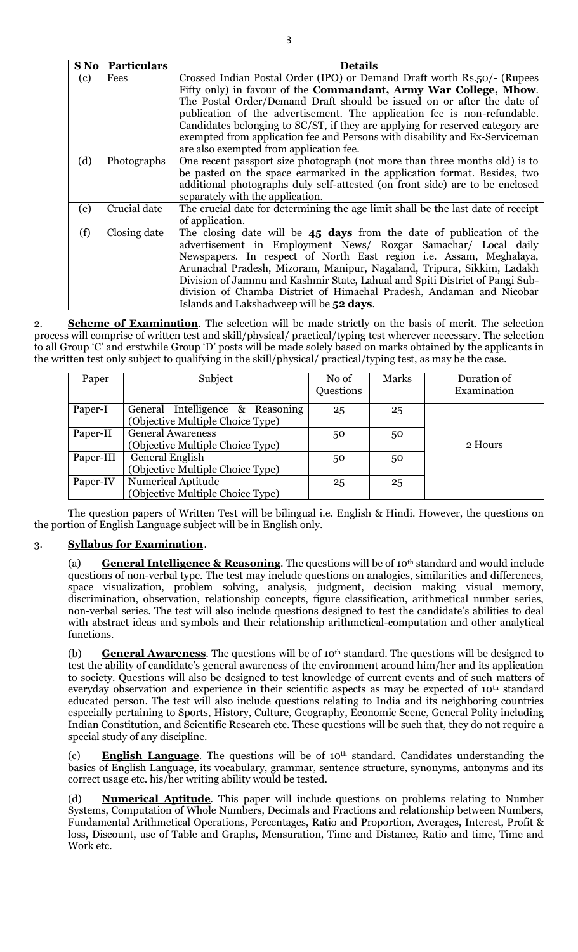| (c) | Fees         | Crossed Indian Postal Order (IPO) or Demand Draft worth Rs.50/- (Rupees          |  |  |  |  |  |  |  |  |
|-----|--------------|----------------------------------------------------------------------------------|--|--|--|--|--|--|--|--|
|     |              | Fifty only) in favour of the <b>Commandant</b> , Army War College, Mhow.         |  |  |  |  |  |  |  |  |
|     |              | The Postal Order/Demand Draft should be issued on or after the date of           |  |  |  |  |  |  |  |  |
|     |              | publication of the advertisement. The application fee is non-refundable.         |  |  |  |  |  |  |  |  |
|     |              | Candidates belonging to SC/ST, if they are applying for reserved category are    |  |  |  |  |  |  |  |  |
|     |              | exempted from application fee and Persons with disability and Ex-Serviceman      |  |  |  |  |  |  |  |  |
|     |              | are also exempted from application fee.                                          |  |  |  |  |  |  |  |  |
| (d) | Photographs  | One recent passport size photograph (not more than three months old) is to       |  |  |  |  |  |  |  |  |
|     |              | be pasted on the space earmarked in the application format. Besides, two         |  |  |  |  |  |  |  |  |
|     |              | additional photographs duly self-attested (on front side) are to be enclosed     |  |  |  |  |  |  |  |  |
|     |              | separately with the application.                                                 |  |  |  |  |  |  |  |  |
| (e) | Crucial date | The crucial date for determining the age limit shall be the last date of receipt |  |  |  |  |  |  |  |  |
|     |              | of application.                                                                  |  |  |  |  |  |  |  |  |
| (f) | Closing date | The closing date will be $45$ days from the date of publication of the           |  |  |  |  |  |  |  |  |
|     |              | advertisement in Employment News/ Rozgar Samachar/ Local daily                   |  |  |  |  |  |  |  |  |
|     |              | Newspapers. In respect of North East region i.e. Assam, Meghalaya,               |  |  |  |  |  |  |  |  |
|     |              | Arunachal Pradesh, Mizoram, Manipur, Nagaland, Tripura, Sikkim, Ladakh           |  |  |  |  |  |  |  |  |
|     |              | Division of Jammu and Kashmir State, Lahual and Spiti District of Pangi Sub-     |  |  |  |  |  |  |  |  |
|     |              | division of Chamba District of Himachal Pradesh, Andaman and Nicobar             |  |  |  |  |  |  |  |  |
|     |              | Islands and Lakshadweep will be 52 days.                                         |  |  |  |  |  |  |  |  |

2. **Scheme of Examination**. The selection will be made strictly on the basis of merit. The selection process will comprise of written test and skill/physical/ practical/typing test wherever necessary. The selection to all Group "C" and erstwhile Group "D" posts will be made solely based on marks obtained by the applicants in the written test only subject to qualifying in the skill/physical/ practical/typing test, as may be the case.

| Paper     | Subject                                                              | No of<br>Questions | Marks | Duration of<br>Examination |
|-----------|----------------------------------------------------------------------|--------------------|-------|----------------------------|
| Paper-I   | General Intelligence & Reasoning<br>(Objective Multiple Choice Type) | 25                 | 25    |                            |
| Paper-II  | <b>General Awareness</b><br>(Objective Multiple Choice Type)         | 50                 | 50    | 2 Hours                    |
| Paper-III | <b>General English</b><br>(Objective Multiple Choice Type)           | 50                 | 50    |                            |
| Paper-IV  | <b>Numerical Aptitude</b><br>(Objective Multiple Choice Type)        | 25                 | 25    |                            |

The question papers of Written Test will be bilingual i.e. English & Hindi. However, the questions on the portion of English Language subject will be in English only.

# 3. **Syllabus for Examination**.

(a) **General Intelligence & Reasoning**. The questions will be of 10th standard and would include questions of non-verbal type. The test may include questions on analogies, similarities and differences, space visualization, problem solving, analysis, judgment, decision making visual memory, discrimination, observation, relationship concepts, figure classification, arithmetical number series, non-verbal series. The test will also include questions designed to test the candidate's abilities to deal with abstract ideas and symbols and their relationship arithmetical-computation and other analytical functions.

(b) **General Awareness**. The questions will be of 10th standard. The questions will be designed to test the ability of candidate's general awareness of the environment around him/her and its application to society. Questions will also be designed to test knowledge of current events and of such matters of everyday observation and experience in their scientific aspects as may be expected of 10<sup>th</sup> standard educated person. The test will also include questions relating to India and its neighboring countries especially pertaining to Sports, History, Culture, Geography, Economic Scene, General Polity including Indian Constitution, and Scientific Research etc. These questions will be such that, they do not require a special study of any discipline.

(c) **English Language**. The questions will be of 10th standard. Candidates understanding the basics of English Language, its vocabulary, grammar, sentence structure, synonyms, antonyms and its correct usage etc. his/her writing ability would be tested.

**Numerical Aptitude**. This paper will include questions on problems relating to Number Systems, Computation of Whole Numbers, Decimals and Fractions and relationship between Numbers, Fundamental Arithmetical Operations, Percentages, Ratio and Proportion, Averages, Interest, Profit & loss, Discount, use of Table and Graphs, Mensuration, Time and Distance, Ratio and time, Time and Work etc.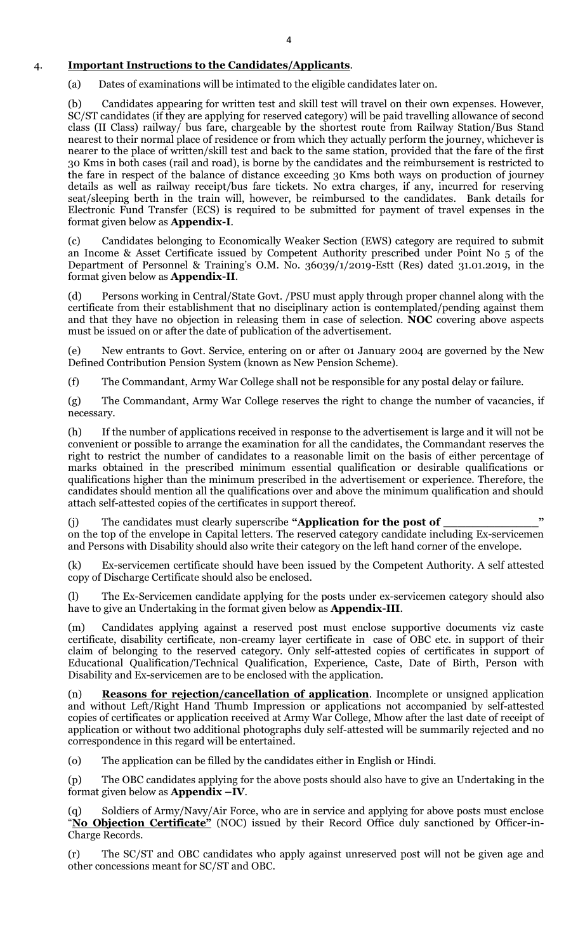# 4. **Important Instructions to the Candidates/Applicants**.

(a) Dates of examinations will be intimated to the eligible candidates later on.

(b) Candidates appearing for written test and skill test will travel on their own expenses. However, SC/ST candidates (if they are applying for reserved category) will be paid travelling allowance of second class (II Class) railway/ bus fare, chargeable by the shortest route from Railway Station/Bus Stand nearest to their normal place of residence or from which they actually perform the journey, whichever is nearer to the place of written/skill test and back to the same station, provided that the fare of the first 30 Kms in both cases (rail and road), is borne by the candidates and the reimbursement is restricted to the fare in respect of the balance of distance exceeding 30 Kms both ways on production of journey details as well as railway receipt/bus fare tickets. No extra charges, if any, incurred for reserving seat/sleeping berth in the train will, however, be reimbursed to the candidates. Bank details for Electronic Fund Transfer (ECS) is required to be submitted for payment of travel expenses in the format given below as **Appendix-I**.

(c) Candidates belonging to Economically Weaker Section (EWS) category are required to submit an Income & Asset Certificate issued by Competent Authority prescribed under Point No 5 of the Department of Personnel & Training's O.M. No. 36039/1/2019-Estt (Res) dated 31.01.2019, in the format given below as **Appendix-II**.

(d) Persons working in Central/State Govt. /PSU must apply through proper channel along with the certificate from their establishment that no disciplinary action is contemplated/pending against them and that they have no objection in releasing them in case of selection. **NOC** covering above aspects must be issued on or after the date of publication of the advertisement.

(e) New entrants to Govt. Service, entering on or after 01 January 2004 are governed by the New Defined Contribution Pension System (known as New Pension Scheme).

(f) The Commandant, Army War College shall not be responsible for any postal delay or failure.

(g) The Commandant, Army War College reserves the right to change the number of vacancies, if necessary.

(h) If the number of applications received in response to the advertisement is large and it will not be convenient or possible to arrange the examination for all the candidates, the Commandant reserves the right to restrict the number of candidates to a reasonable limit on the basis of either percentage of marks obtained in the prescribed minimum essential qualification or desirable qualifications or qualifications higher than the minimum prescribed in the advertisement or experience. Therefore, the candidates should mention all the qualifications over and above the minimum qualification and should attach self-attested copies of the certificates in support thereof.

(j) The candidates must clearly superscribe **"Application for the post of \_\_\_\_\_\_\_\_\_\_\_\_\_"** on the top of the envelope in Capital letters. The reserved category candidate including Ex-servicemen and Persons with Disability should also write their category on the left hand corner of the envelope.

(k) Ex-servicemen certificate should have been issued by the Competent Authority. A self attested copy of Discharge Certificate should also be enclosed.

(l) The Ex-Servicemen candidate applying for the posts under ex-servicemen category should also have to give an Undertaking in the format given below as **Appendix-III**.

(m) Candidates applying against a reserved post must enclose supportive documents viz caste certificate, disability certificate, non-creamy layer certificate in case of OBC etc. in support of their claim of belonging to the reserved category. Only self-attested copies of certificates in support of Educational Qualification/Technical Qualification, Experience, Caste, Date of Birth, Person with Disability and Ex-servicemen are to be enclosed with the application.

(n) **Reasons for rejection/cancellation of application**. Incomplete or unsigned application and without Left/Right Hand Thumb Impression or applications not accompanied by self-attested copies of certificates or application received at Army War College, Mhow after the last date of receipt of application or without two additional photographs duly self-attested will be summarily rejected and no correspondence in this regard will be entertained.

(o) The application can be filled by the candidates either in English or Hindi.

(p) The OBC candidates applying for the above posts should also have to give an Undertaking in the format given below as **Appendix –IV**.

(q) Soldiers of Army/Navy/Air Force, who are in service and applying for above posts must enclose "No Objection Certificate" (NOC) issued by their Record Office duly sanctioned by Officer-in-Charge Records.

(r) The SC/ST and OBC candidates who apply against unreserved post will not be given age and other concessions meant for SC/ST and OBC.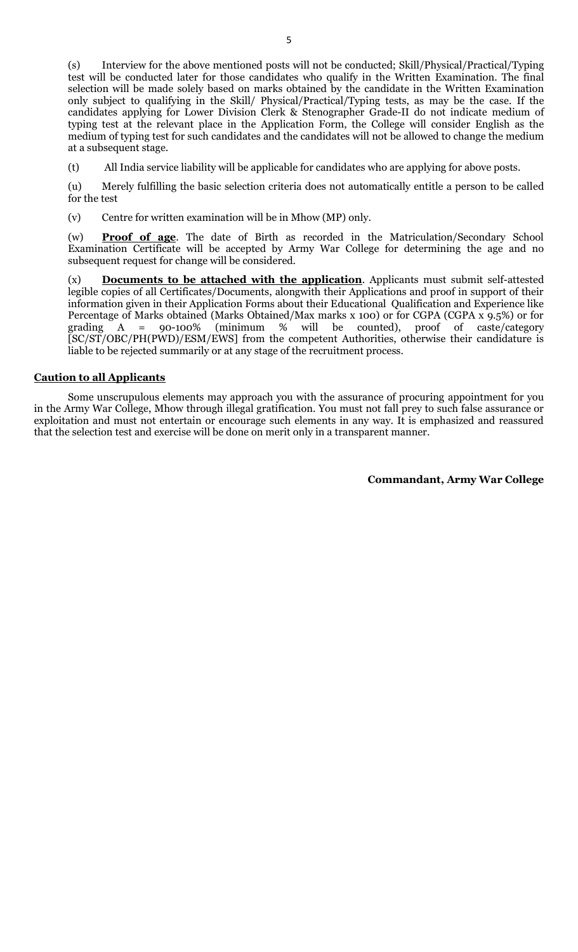(s) Interview for the above mentioned posts will not be conducted; Skill/Physical/Practical/Typing test will be conducted later for those candidates who qualify in the Written Examination. The final selection will be made solely based on marks obtained by the candidate in the Written Examination only subject to qualifying in the Skill/ Physical/Practical/Typing tests, as may be the case. If the candidates applying for Lower Division Clerk & Stenographer Grade-II do not indicate medium of typing test at the relevant place in the Application Form, the College will consider English as the medium of typing test for such candidates and the candidates will not be allowed to change the medium at a subsequent stage.

(t) All India service liability will be applicable for candidates who are applying for above posts.

(u) Merely fulfilling the basic selection criteria does not automatically entitle a person to be called for the test

(v) Centre for written examination will be in Mhow (MP) only.

(w) **Proof of age**. The date of Birth as recorded in the Matriculation/Secondary School Examination Certificate will be accepted by Army War College for determining the age and no subsequent request for change will be considered.

(x) **Documents to be attached with the application**. Applicants must submit self-attested legible copies of all Certificates/Documents, alongwith their Applications and proof in support of their information given in their Application Forms about their Educational Qualification and Experience like Percentage of Marks obtained (Marks Obtained/Max marks x 100) or for CGPA (CGPA x  $9.5\%$ ) or for grading A =  $90-100\%$  (minimum % will be counted), proof of caste/category grading A = 90-100% (minimum % will be counted), proof of caste/category [SC/ST/OBC/PH(PWD)/ESM/EWS] from the competent Authorities, otherwise their candidature is liable to be rejected summarily or at any stage of the recruitment process.

#### **Caution to all Applicants**

Some unscrupulous elements may approach you with the assurance of procuring appointment for you in the Army War College, Mhow through illegal gratification. You must not fall prey to such false assurance or exploitation and must not entertain or encourage such elements in any way. It is emphasized and reassured that the selection test and exercise will be done on merit only in a transparent manner.

**Commandant, Army War College**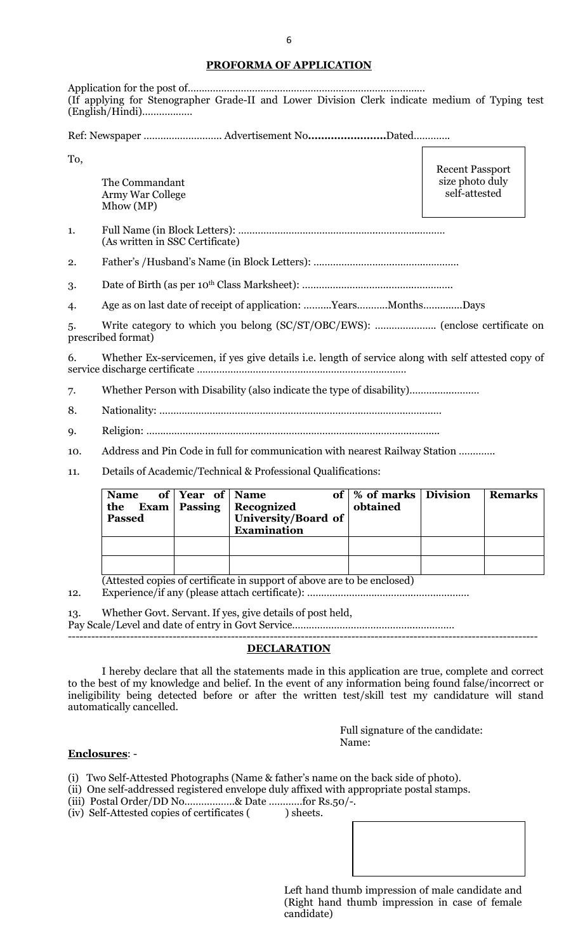#### **PROFORMA OF APPLICATION**

Application for the post of……………………………………………………………………….… (If applying for Stenographer Grade-II and Lower Division Clerk indicate medium of Typing test (English/Hindi)………………

Ref: Newspaper ………………………. Advertisement No**……………………**Dated………….

To,

The Commandant Army War College Mhow (MP)

Recent Passport size photo duly self-attested

1. Full Name (in Block Letters): …………………………………………..…………...……… (As written in SSC Certificate)

2. Father"s /Husband"s Name (in Block Letters): ………………………..………..…………

3. Date of Birth (as per 10<sup>th</sup> Class Marksheet): …………………………………………………………………………………

4. Age as on last date of receipt of application: ……....Years………..Months…...........Days

5. Write category to which you belong (SC/ST/OBC/EWS): …………………. (enclose certificate on prescribed format)

6. Whether Ex-servicemen, if yes give details i.e. length of service along with self attested copy of service discharge certificate …………………………………………………………………

7. Whether Person with Disability (also indicate the type of disability)……….…...………

- 8. Nationality: …………………………………………………………………………….……….…
- 9. Religion: …………………………………………………………………………………..……....

10. Address and Pin Code in full for communication with nearest Railway Station ………….

11. Details of Academic/Technical & Professional Qualifications:

| Name of Year of Name<br><b>Passed</b> | the Exam Passing Recognized<br>University/Board of<br><b>Examination</b> | of   % of marks   Division<br>obtained | <b>Remarks</b> |
|---------------------------------------|--------------------------------------------------------------------------|----------------------------------------|----------------|
|                                       |                                                                          |                                        |                |
|                                       |                                                                          |                                        |                |

(Attested copies of certificate in support of above are to be enclosed)

12. Experience/if any (please attach certificate): ………………………………..………….…….

13. Whether Govt. Servant. If yes, give details of post held,

Pay Scale/Level and date of entry in Govt Service……………………………………...….……… -------------------------------------------------------------------------------------------------------------------------

#### **DECLARATION**

I hereby declare that all the statements made in this application are true, complete and correct to the best of my knowledge and belief. In the event of any information being found false/incorrect or ineligibility being detected before or after the written test/skill test my candidature will stand automatically cancelled.

> Full signature of the candidate: Name:

#### **Enclosures**: -

(i) Two Self-Attested Photographs (Name & father"s name on the back side of photo).

(ii) One self-addressed registered envelope duly affixed with appropriate postal stamps.

(iii) Postal Order/DD No………………& Date …………for Rs.50/-.

(iv) Self-Attested copies of certificates ( ) sheets.

Left hand thumb impression of male candidate and (Right hand thumb impression in case of female candidate)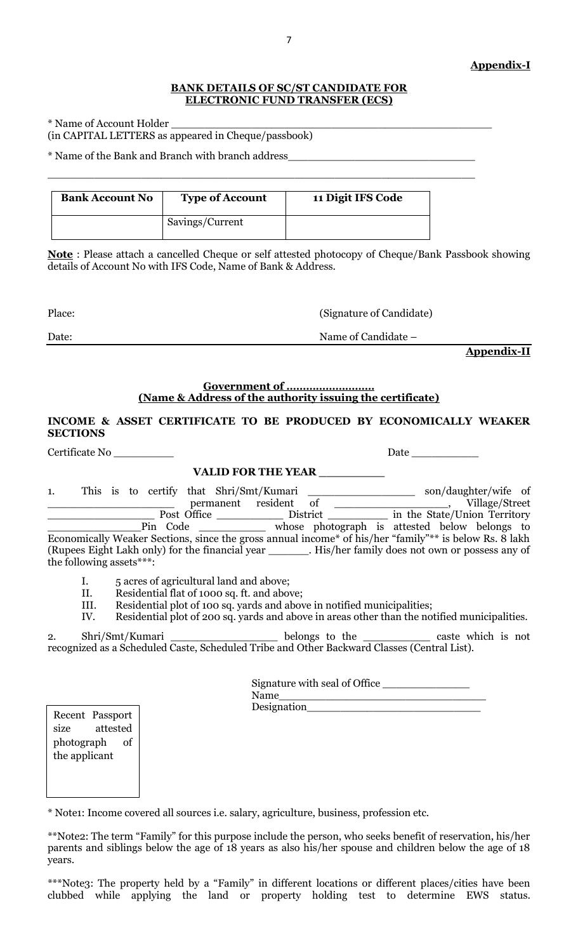#### **BANK DETAILS OF SC/ST CANDIDATE FOR ELECTRONIC FUND TRANSFER (ECS)**

\* Name of Account Holder \_\_\_\_\_\_\_\_\_\_\_\_\_\_\_\_\_\_\_\_\_\_\_\_\_\_\_\_\_\_\_\_\_\_\_\_\_\_\_\_\_\_\_\_\_\_\_\_ (in CAPITAL LETTERS as appeared in Cheque/passbook)

\* Name of the Bank and Branch with branch address\_\_\_\_\_\_\_\_\_\_\_\_\_\_\_\_\_\_\_\_\_\_\_\_\_\_\_\_

| <b>Bank Account No</b> | <b>Type of Account</b> | 11 Digit IFS Code |
|------------------------|------------------------|-------------------|
|                        | Savings/Current        |                   |

 $\_$  , and the set of the set of the set of the set of the set of the set of the set of the set of the set of the set of the set of the set of the set of the set of the set of the set of the set of the set of the set of th

**Note** : Please attach a cancelled Cheque or self attested photocopy of Cheque/Bank Passbook showing details of Account No with IFS Code, Name of Bank & Address.

| Place: | (Signature of Candidate) |
|--------|--------------------------|
| Date:  | Name of Candidate –      |

**Appendix-II**

Date \_\_\_\_\_\_\_

### **Government of ……………………… (Name & Address of the authority issuing the certificate)**

## **INCOME & ASSET CERTIFICATE TO BE PRODUCED BY ECONOMICALLY WEAKER SECTIONS**

## **VALID FOR THE YEAR \_\_\_\_\_\_\_\_\_**

| 1. |                          |          |  |  |                                                                                             |  |  |                                                                                                         |  |
|----|--------------------------|----------|--|--|---------------------------------------------------------------------------------------------|--|--|---------------------------------------------------------------------------------------------------------|--|
|    |                          |          |  |  |                                                                                             |  |  |                                                                                                         |  |
|    |                          |          |  |  |                                                                                             |  |  | Pin Code ____________ whose photograph is attested below belongs to                                     |  |
|    |                          |          |  |  |                                                                                             |  |  | Economically Weaker Sections, since the gross annual income* of his/her "family"** is below Rs. 8 lakh  |  |
|    |                          |          |  |  |                                                                                             |  |  | (Rupees Eight Lakh only) for the financial year ________. His/her family does not own or possess any of |  |
|    | the following assets***: |          |  |  |                                                                                             |  |  |                                                                                                         |  |
|    | I.                       |          |  |  | 5 acres of agricultural land and above;                                                     |  |  |                                                                                                         |  |
|    | II.                      |          |  |  | Residential flat of 1000 sq. ft. and above;                                                 |  |  |                                                                                                         |  |
|    | III.                     |          |  |  |                                                                                             |  |  |                                                                                                         |  |
|    |                          |          |  |  | Residential plot of 100 sq. yards and above in notified municipalities;                     |  |  |                                                                                                         |  |
|    | IV.                      |          |  |  |                                                                                             |  |  | Residential plot of 200 sq. yards and above in areas other than the notified municipalities.            |  |
| 2. |                          |          |  |  |                                                                                             |  |  | Shri/Smt/Kumari ___________________ belongs to the ____________ caste which is not                      |  |
|    |                          |          |  |  | recognized as a Scheduled Caste, Scheduled Tribe and Other Backward Classes (Central List). |  |  |                                                                                                         |  |
|    |                          |          |  |  |                                                                                             |  |  |                                                                                                         |  |
|    |                          |          |  |  |                                                                                             |  |  |                                                                                                         |  |
|    |                          |          |  |  | Signature with seal of Office                                                               |  |  |                                                                                                         |  |
|    |                          |          |  |  |                                                                                             |  |  |                                                                                                         |  |
|    |                          |          |  |  |                                                                                             |  |  |                                                                                                         |  |
|    | Recent Passport          |          |  |  |                                                                                             |  |  |                                                                                                         |  |
|    | size                     | attested |  |  |                                                                                             |  |  |                                                                                                         |  |
|    | photograph of            |          |  |  |                                                                                             |  |  |                                                                                                         |  |
|    | the applicant            |          |  |  |                                                                                             |  |  |                                                                                                         |  |

\* Note1: Income covered all sources i.e. salary, agriculture, business, profession etc.

\*\*Note2: The term "Family" for this purpose include the person, who seeks benefit of reservation, his/her parents and siblings below the age of 18 years as also his/her spouse and children below the age of 18 years.

\*\*\*Note3: The property held by a "Family" in different locations or different places/cities have been clubbed while applying the land or property holding test to determine EWS status.